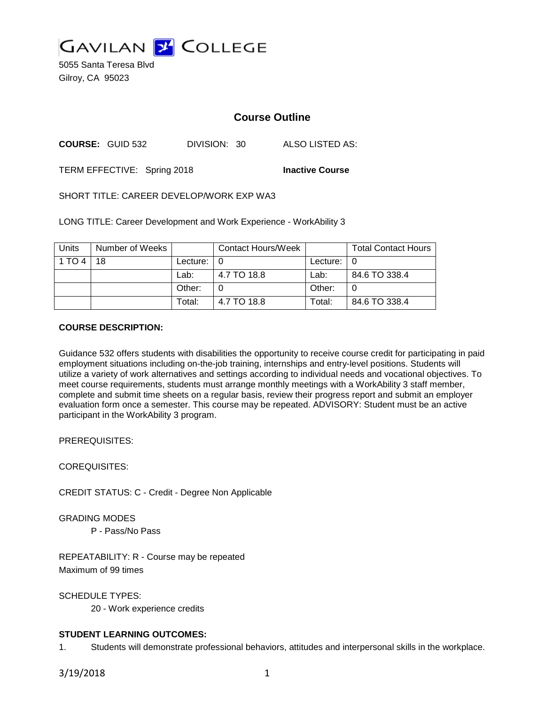

5055 Santa Teresa Blvd Gilroy, CA 95023

# **Course Outline**

**COURSE:** GUID 532 DIVISION: 30 ALSO LISTED AS:

TERM EFFECTIVE: Spring 2018 **Inactive Course**

SHORT TITLE: CAREER DEVELOP/WORK EXP WA3

LONG TITLE: Career Development and Work Experience - WorkAbility 3

| Units  | Number of Weeks |                | <b>Contact Hours/Week</b> |                | <b>Total Contact Hours</b> |
|--------|-----------------|----------------|---------------------------|----------------|----------------------------|
| 1 TO 4 | 18              | Lecture: $ 0 $ |                           | Lecture: $ 0 $ |                            |
|        |                 | Lab:           | 4.7 TO 18.8               | Lab:           | 84.6 TO 338.4              |
|        |                 | Other:         |                           | Other:         |                            |
|        |                 | Total:         | 4.7 TO 18.8               | Total:         | 84.6 TO 338.4              |

#### **COURSE DESCRIPTION:**

Guidance 532 offers students with disabilities the opportunity to receive course credit for participating in paid employment situations including on-the-job training, internships and entry-level positions. Students will utilize a variety of work alternatives and settings according to individual needs and vocational objectives. To meet course requirements, students must arrange monthly meetings with a WorkAbility 3 staff member, complete and submit time sheets on a regular basis, review their progress report and submit an employer evaluation form once a semester. This course may be repeated. ADVISORY: Student must be an active participant in the WorkAbility 3 program.

PREREQUISITES:

COREQUISITES:

CREDIT STATUS: C - Credit - Degree Non Applicable

GRADING MODES

P - Pass/No Pass

REPEATABILITY: R - Course may be repeated Maximum of 99 times

SCHEDULE TYPES:

20 - Work experience credits

## **STUDENT LEARNING OUTCOMES:**

1. Students will demonstrate professional behaviors, attitudes and interpersonal skills in the workplace.

3/19/2018 1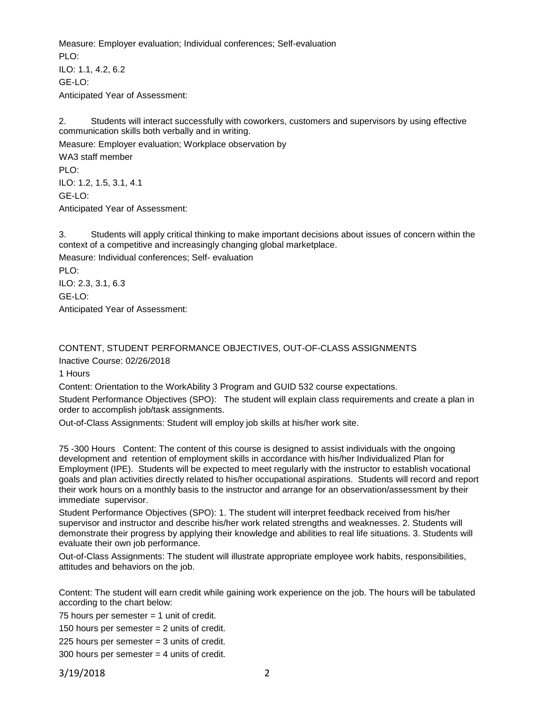Measure: Employer evaluation; Individual conferences; Self-evaluation  $PIO$ ILO: 1.1, 4.2, 6.2 GE-LO: Anticipated Year of Assessment:

2. Students will interact successfully with coworkers, customers and supervisors by using effective communication skills both verbally and in writing.

Measure: Employer evaluation; Workplace observation by WA3 staff member PLO: ILO: 1.2, 1.5, 3.1, 4.1 GE-LO: Anticipated Year of Assessment:

3. Students will apply critical thinking to make important decisions about issues of concern within the context of a competitive and increasingly changing global marketplace.

Measure: Individual conferences; Self- evaluation

PLO: ILO: 2.3, 3.1, 6.3 GE-LO: Anticipated Year of Assessment:

# CONTENT, STUDENT PERFORMANCE OBJECTIVES, OUT-OF-CLASS ASSIGNMENTS

Inactive Course: 02/26/2018

1 Hours

Content: Orientation to the WorkAbility 3 Program and GUID 532 course expectations.

Student Performance Objectives (SPO): The student will explain class requirements and create a plan in order to accomplish job/task assignments.

Out-of-Class Assignments: Student will employ job skills at his/her work site.

75 -300 Hours Content: The content of this course is designed to assist individuals with the ongoing development and retention of employment skills in accordance with his/her Individualized Plan for Employment (IPE). Students will be expected to meet regularly with the instructor to establish vocational goals and plan activities directly related to his/her occupational aspirations. Students will record and report their work hours on a monthly basis to the instructor and arrange for an observation/assessment by their immediate supervisor.

Student Performance Objectives (SPO): 1. The student will interpret feedback received from his/her supervisor and instructor and describe his/her work related strengths and weaknesses. 2. Students will demonstrate their progress by applying their knowledge and abilities to real life situations. 3. Students will evaluate their own job performance.

Out-of-Class Assignments: The student will illustrate appropriate employee work habits, responsibilities, attitudes and behaviors on the job.

Content: The student will earn credit while gaining work experience on the job. The hours will be tabulated according to the chart below:

75 hours per semester = 1 unit of credit.

150 hours per semester = 2 units of credit.

225 hours per semester = 3 units of credit.

300 hours per semester = 4 units of credit.

3/19/2018 2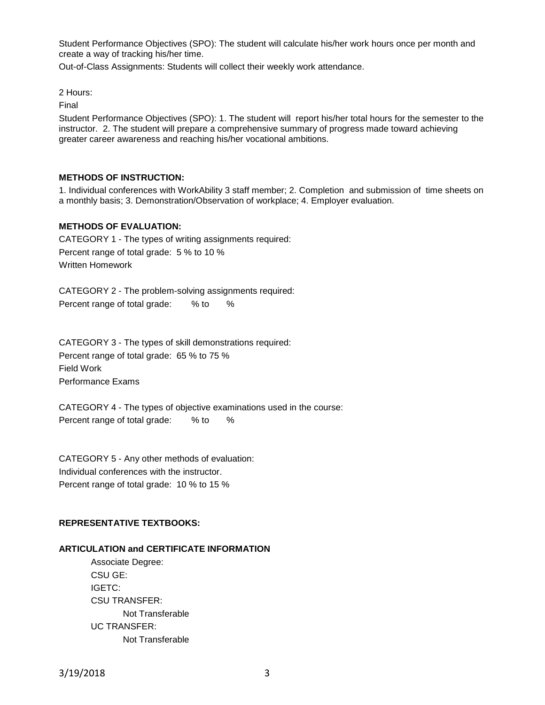Student Performance Objectives (SPO): The student will calculate his/her work hours once per month and create a way of tracking his/her time.

Out-of-Class Assignments: Students will collect their weekly work attendance.

2 Hours:

Final

Student Performance Objectives (SPO): 1. The student will report his/her total hours for the semester to the instructor. 2. The student will prepare a comprehensive summary of progress made toward achieving greater career awareness and reaching his/her vocational ambitions.

#### **METHODS OF INSTRUCTION:**

1. Individual conferences with WorkAbility 3 staff member; 2. Completion and submission of time sheets on a monthly basis; 3. Demonstration/Observation of workplace; 4. Employer evaluation.

#### **METHODS OF EVALUATION:**

CATEGORY 1 - The types of writing assignments required: Percent range of total grade: 5 % to 10 % Written Homework

CATEGORY 2 - The problem-solving assignments required: Percent range of total grade: % to %

CATEGORY 3 - The types of skill demonstrations required: Percent range of total grade: 65 % to 75 % Field Work Performance Exams

CATEGORY 4 - The types of objective examinations used in the course: Percent range of total grade: % to %

CATEGORY 5 - Any other methods of evaluation: Individual conferences with the instructor. Percent range of total grade: 10 % to 15 %

## **REPRESENTATIVE TEXTBOOKS:**

#### **ARTICULATION and CERTIFICATE INFORMATION**

Associate Degree: CSU GE: IGETC: CSU TRANSFER: Not Transferable UC TRANSFER: Not Transferable